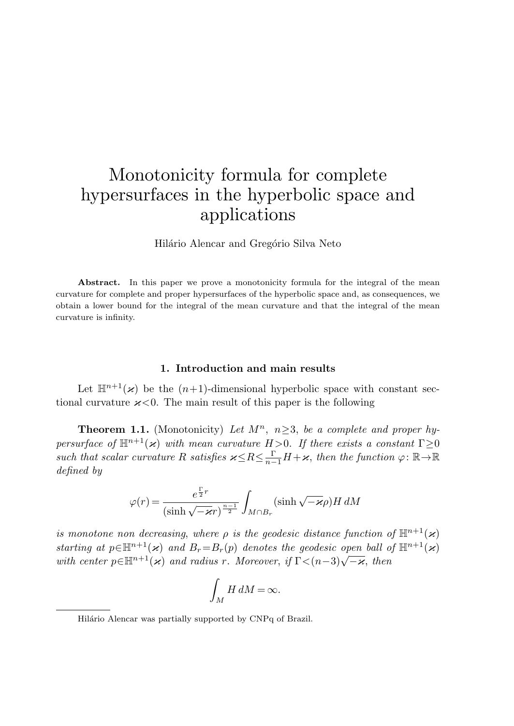## Monotonicity formula for complete hypersurfaces in the hyperbolic space and applications

Hilário Alencar and Gregório Silva Neto

Abstract. In this paper we prove a monotonicity formula for the integral of the mean curvature for complete and proper hypersurfaces of the hyperbolic space and, as consequences, we obtain a lower bound for the integral of the mean curvature and that the integral of the mean curvature is infinity.

## <span id="page-0-0"></span>**1. Introduction and main results**

Let  $\mathbb{H}^{n+1}(\varkappa)$  be the  $(n+1)$ -dimensional hyperbolic space with constant sectional curvature  $\varkappa < 0$ . The main result of this paper is the following

**Theorem 1.1.** (Monotonicity) Let  $M^n$ ,  $n \geq 3$ , be a complete and proper hypersurface of  $\mathbb{H}^{n+1}(\varkappa)$  with mean curvature  $H > 0$ . If there exists a constant  $\Gamma \geq 0$ such that scalar curvature R satisfies  $x \le R \le \frac{\Gamma}{n-1}H + \varkappa$ , then the function  $\varphi : \mathbb{R} \to \mathbb{R}$ defined by

$$
\varphi(r) = \frac{e^{\frac{\Gamma}{2}r}}{(\sinh\sqrt{-\varkappa}r)^{\frac{n-1}{2}}} \int_{M\cap B_r} (\sinh\sqrt{-\varkappa}\rho)H\,dM
$$

is monotone non decreasing, where  $\rho$  is the geodesic distance function of  $\mathbb{H}^{n+1}(\varkappa)$ starting at  $p \in \mathbb{H}^{n+1}(\varkappa)$  and  $B_r = B_r(p)$  denotes the geodesic open ball of  $\mathbb{H}^{n+1}(\varkappa)$ with center  $p \in \mathbb{H}^{n+1}(\varkappa)$  and radius r. Moreover, if  $\Gamma < (n-3)\sqrt{-\varkappa}$ , then

$$
\int_M H \, dM = \infty.
$$

Hilário Alencar was partially supported by CNPq of Brazil.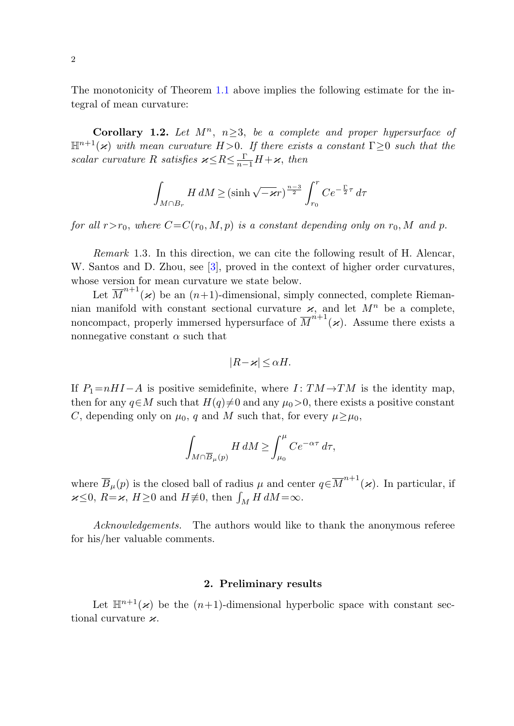The monotonicity of Theorem [1.1](#page-0-0) above implies the following estimate for the integral of mean curvature:

**Corollary 1.2.** Let  $M^n$ ,  $n>3$ , be a complete and proper hypersurface of  $\mathbb{H}^{n+1}(\varkappa)$  with mean curvature H > 0. If there exists a constant  $\Gamma \geq 0$  such that the scalar curvature R satisfies  $\varkappa \leq R \leq \frac{\Gamma}{n-1}H+\varkappa$ , then

$$
\int_{M \cap B_r} H \, dM \ge (\sinh \sqrt{-\varkappa}r)^{\frac{n-3}{2}} \int_{r_0}^r C e^{-\frac{\Gamma}{2}\tau} \, d\tau
$$

for all  $r>r_0$ , where  $C=C(r_0,M,p)$  is a constant depending only on  $r_0$ , M and p.

Remark 1.3. In this direction, we can cite the following result of H. Alencar, W. Santos and D. Zhou, see [\[3](#page-10-0)], proved in the context of higher order curvatures, whose version for mean curvature we state below.

Let  $\overline{M}^{n+1}(\varkappa)$  be an  $(n+1)$ -dimensional, simply connected, complete Riemannian manifold with constant sectional curvature  $\mathbf{x}$ , and let  $M^n$  be a complete, noncompact, properly immersed hypersurface of  $\overline{M}^{n+1}(\varkappa)$ . Assume there exists a nonnegative constant  $\alpha$  such that

$$
|R - \varkappa| \le \alpha H.
$$

If  $P_1=nH I-A$  is positive semidefinite, where  $I: TM \rightarrow TM$  is the identity map, then for any  $q \in M$  such that  $H(q) \neq 0$  and any  $\mu_0 > 0$ , there exists a positive constant C, depending only on  $\mu_0$ , q and M such that, for every  $\mu \ge \mu_0$ ,

$$
\int_{M\cap \overline{B}_{\mu}(p)}H \, dM \ge \int_{\mu_0}^{\mu} C e^{-\alpha \tau} \, d\tau,
$$

where  $\overline{B}_{\mu}(p)$  is the closed ball of radius  $\mu$  and center  $q \in \overline{M}^{n+1}(\varkappa)$ . In particular, if  $\varkappa \leq 0$ ,  $R = \varkappa$ ,  $H \geq 0$  and  $H \neq 0$ , then  $\int_M H dM = \infty$ .

Acknowledgements. The authors would like to thank the anonymous referee for his/her valuable comments.

## **2. Preliminary results**

Let  $\mathbb{H}^{n+1}(\varkappa)$  be the  $(n+1)$ -dimensional hyperbolic space with constant sectional curvature  $\varkappa$ .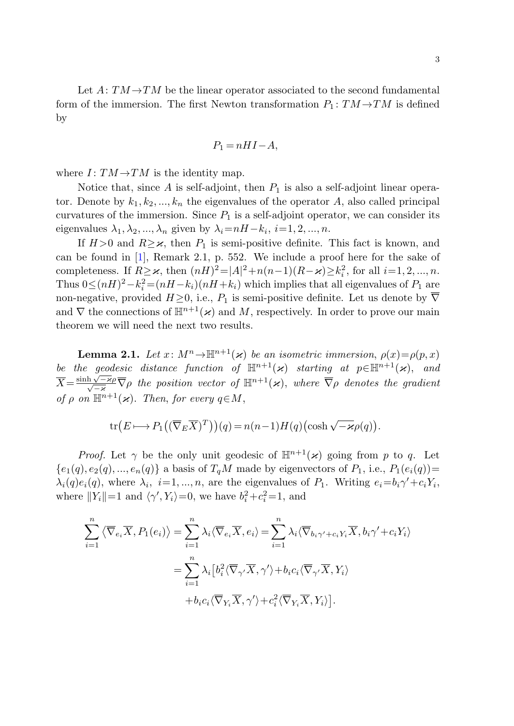Let  $A: TM \rightarrow TM$  be the linear operator associated to the second fundamental form of the immersion. The first Newton transformation  $P_1: TM \rightarrow TM$  is defined by

$$
P_1 = nHI - A,
$$

where  $I: TM \rightarrow TM$  is the identity map.

Notice that, since A is self-adjoint, then  $P_1$  is also a self-adjoint linear operator. Denote by  $k_1, k_2, ..., k_n$  the eigenvalues of the operator A, also called principal curvatures of the immersion. Since  $P_1$  is a self-adjoint operator, we can consider its eigenvalues  $\lambda_1, \lambda_2, ..., \lambda_n$  given by  $\lambda_i = nH - k_i, i = 1, 2, ..., n$ .

<span id="page-2-0"></span>If  $H > 0$  and  $R > \varkappa$ , then  $P_1$  is semi-positive definite. This fact is known, and can be found in [\[1](#page-10-1)], Remark 2.1, p. 552. We include a proof here for the sake of completeness. If  $R \geq \varkappa$ , then  $(nH)^2 = |A|^2 + n(n-1)(R-\varkappa) \geq k_i^2$ , for all  $i=1, 2, ..., n$ . Thus  $0 \leq (nH)^2 - k_i^2 = (nH - k_i)(nH + k_i)$  which implies that all eigenvalues of  $P_1$  are non-negative, provided  $H\geq 0$ , i.e.,  $P_1$  is semi-positive definite. Let us denote by  $\overline{\nabla}$ and  $\nabla$  the connections of  $\mathbb{H}^{n+1}(\varkappa)$  and M, respectively. In order to prove our main theorem we will need the next two results.

**Lemma 2.1.** Let  $x: M^n \to \mathbb{H}^{n+1}(\varkappa)$  be an isometric immersion,  $\rho(x) = \rho(p, x)$ be the geodesic distance function of  $\mathbb{H}^{n+1}(\varkappa)$  starting at  $p \in \mathbb{H}^{n+1}(\varkappa)$ , and  $\overline{X} = \frac{\sinh \sqrt{-z\rho}}{\sqrt{-z}} \overline{\nabla} \rho$  the position vector of  $\mathbb{H}^{n+1}(x)$ , where  $\overline{\nabla} \rho$  denotes the gradient of  $\rho$  on  $\mathbb{H}^{n+1}(\varkappa)$ . Then, for every  $q \in M$ ,

$$
\operatorname{tr}(E \longmapsto P_1((\overline{\nabla}_E \overline{X})^T))(q) = n(n-1)H(q) \left(\cosh \sqrt{-\varkappa} \rho(q)\right).
$$

*Proof.* Let  $\gamma$  be the only unit geodesic of  $\mathbb{H}^{n+1}(\boldsymbol{\varkappa})$  going from p to q. Let  ${e_1(q), e_2(q), ..., e_n(q)}$  a basis of  $T_qM$  made by eigenvectors of  $P_1$ , i.e.,  $P_1(e_i(q))=$  $\lambda_i(q)e_i(q)$ , where  $\lambda_i$ ,  $i=1,\dots,n$ , are the eigenvalues of  $P_1$ . Writing  $e_i = b_i \gamma' + c_i Y_i$ , where  $||Y_i||=1$  and  $\langle \gamma', Y_i \rangle = 0$ , we have  $b_i^2 + c_i^2 = 1$ , and

$$
\sum_{i=1}^{n} \langle \overline{\nabla}_{e_i} \overline{X}, P_1(e_i) \rangle = \sum_{i=1}^{n} \lambda_i \langle \overline{\nabla}_{e_i} \overline{X}, e_i \rangle = \sum_{i=1}^{n} \lambda_i \langle \overline{\nabla}_{b_i \gamma' + c_i Y_i} \overline{X}, b_i \gamma' + c_i Y_i \rangle
$$

$$
= \sum_{i=1}^{n} \lambda_i \left[ b_i^2 \langle \overline{\nabla}_{\gamma'} \overline{X}, \gamma' \rangle + b_i c_i \langle \overline{\nabla}_{\gamma'} \overline{X}, Y_i \rangle \right]
$$

$$
+ b_i c_i \langle \overline{\nabla}_{Y_i} \overline{X}, \gamma' \rangle + c_i^2 \langle \overline{\nabla}_{Y_i} \overline{X}, Y_i \rangle \right].
$$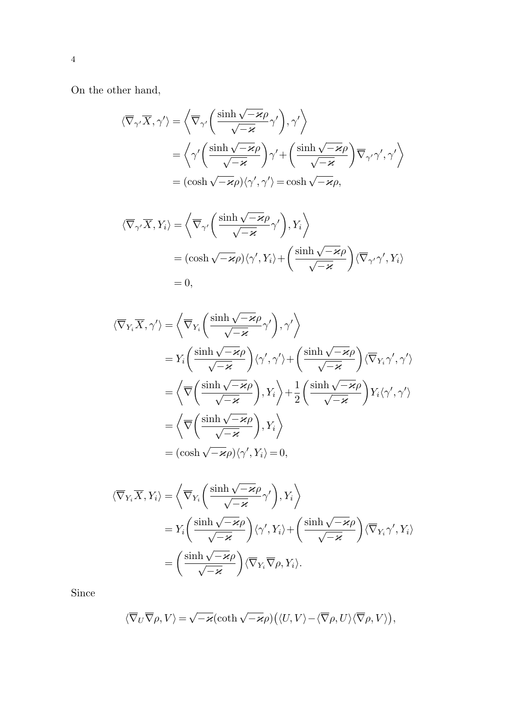On the other hand,

$$
\begin{split} \langle\overline{\nabla}_{\gamma'}\overline{X},\gamma'\rangle&=\left\langle\overline{\nabla}_{\gamma'}\left(\frac{\sinh\sqrt{-\varkappa}\rho}{\sqrt{-\varkappa}}\gamma'\right),\gamma'\right\rangle\\ &=\left\langle\gamma'\left(\frac{\sinh\sqrt{-\varkappa}\rho}{\sqrt{-\varkappa}}\right)\gamma'+\left(\frac{\sinh\sqrt{-\varkappa}\rho}{\sqrt{-\varkappa}}\right)\overline{\nabla}_{\gamma'}\gamma',\gamma'\right\rangle\\ &=(\cosh\sqrt{-\varkappa}\rho)\langle\gamma',\gamma'\rangle=\cosh\sqrt{-\varkappa}\rho, \end{split}
$$

$$
\langle \overline{\nabla}_{\gamma'} \overline{X}, Y_i \rangle = \left\langle \overline{\nabla}_{\gamma'} \left( \frac{\sinh \sqrt{-\varkappa} \rho}{\sqrt{-\varkappa}} \gamma' \right), Y_i \right\rangle
$$
  
=  $(\cosh \sqrt{-\varkappa} \rho) \langle \gamma', Y_i \rangle + \left( \frac{\sinh \sqrt{-\varkappa} \rho}{\sqrt{-\varkappa}} \right) \langle \overline{\nabla}_{\gamma'} \gamma', Y_i \rangle$   
= 0,

$$
\langle \overline{\nabla}_{Y_i} \overline{X}, \gamma' \rangle = \left\langle \overline{\nabla}_{Y_i} \left( \frac{\sinh \sqrt{-\varkappa} \rho}{\sqrt{-\varkappa}} \gamma' \right), \gamma' \right\rangle
$$
  
\n
$$
= Y_i \left( \frac{\sinh \sqrt{-\varkappa} \rho}{\sqrt{-\varkappa}} \right) \langle \gamma', \gamma' \rangle + \left( \frac{\sinh \sqrt{-\varkappa} \rho}{\sqrt{-\varkappa}} \right) \langle \overline{\nabla}_{Y_i} \gamma', \gamma' \rangle
$$
  
\n
$$
= \left\langle \overline{\nabla} \left( \frac{\sinh \sqrt{-\varkappa} \rho}{\sqrt{-\varkappa}} \right), Y_i \right\rangle + \frac{1}{2} \left( \frac{\sinh \sqrt{-\varkappa} \rho}{\sqrt{-\varkappa}} \right) Y_i \langle \gamma', \gamma' \rangle
$$
  
\n
$$
= \left\langle \overline{\nabla} \left( \frac{\sinh \sqrt{-\varkappa} \rho}{\sqrt{-\varkappa}} \right), Y_i \right\rangle
$$
  
\n
$$
= (\cosh \sqrt{-\varkappa} \rho) \langle \gamma', Y_i \rangle = 0,
$$

$$
\langle \overline{\nabla}_{Y_i} \overline{X}, Y_i \rangle = \left\langle \overline{\nabla}_{Y_i} \left( \frac{\sinh \sqrt{-\varkappa} \rho}{\sqrt{-\varkappa}} \gamma' \right), Y_i \right\rangle
$$
  
=  $Y_i \left( \frac{\sinh \sqrt{-\varkappa} \rho}{\sqrt{-\varkappa}} \right) \langle \gamma', Y_i \rangle + \left( \frac{\sinh \sqrt{-\varkappa} \rho}{\sqrt{-\varkappa}} \right) \langle \overline{\nabla}_{Y_i} \gamma', Y_i \rangle$   
=  $\left( \frac{\sinh \sqrt{-\varkappa} \rho}{\sqrt{-\varkappa}} \right) \langle \overline{\nabla}_{Y_i} \overline{\nabla} \rho, Y_i \rangle.$ 

Since

$$
\langle\overline{\nabla}_U\overline{\nabla}\rho,V\rangle=\sqrt{-\varkappa}\bigl(\coth\sqrt{-\varkappa}\rho\bigr)\bigl(\langle U,V\rangle-\langle\overline{\nabla}\rho,U\rangle\langle\overline{\nabla}\rho,V\rangle\bigr),
$$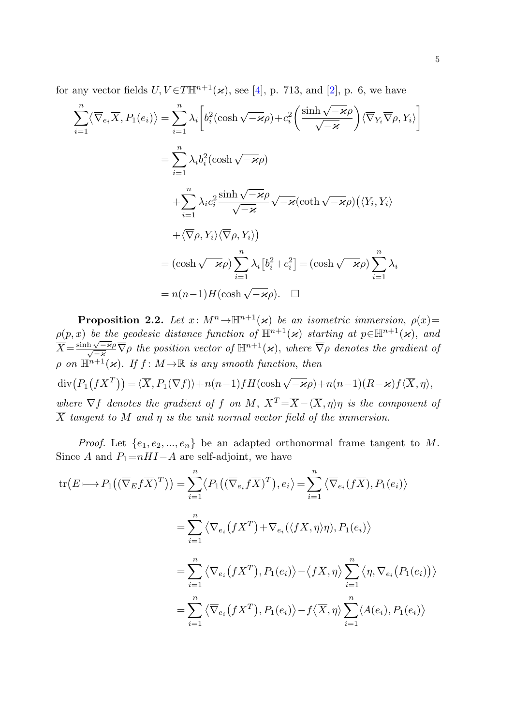for any vector fields  $U, V \in T \mathbb{H}^{n+1}(\varkappa)$ , see [\[4](#page-10-2)], p. 713, and [\[2](#page-10-3)], p. 6, we have

$$
\sum_{i=1}^{n} \langle \overline{\nabla}_{e_i} \overline{X}, P_1(e_i) \rangle = \sum_{i=1}^{n} \lambda_i \left[ b_i^2 (\cosh \sqrt{-\varkappa} \rho) + c_i^2 \left( \frac{\sinh \sqrt{-\varkappa} \rho}{\sqrt{-\varkappa}} \right) \langle \overline{\nabla}_{Y_i} \overline{\nabla}_{\rho}, Y_i \rangle \right]
$$
  
\n
$$
= \sum_{i=1}^{n} \lambda_i b_i^2 (\cosh \sqrt{-\varkappa} \rho)
$$
  
\n
$$
+ \sum_{i=1}^{n} \lambda_i c_i^2 \frac{\sinh \sqrt{-\varkappa} \rho}{\sqrt{-\varkappa}} \sqrt{-\varkappa} (\coth \sqrt{-\varkappa} \rho) (\langle Y_i, Y_i \rangle)
$$
  
\n
$$
+ \langle \overline{\nabla}_{\rho}, Y_i \rangle \langle \overline{\nabla}_{\rho}, Y_i \rangle)
$$
  
\n
$$
= (\cosh \sqrt{-\varkappa} \rho) \sum_{i=1}^{n} \lambda_i [b_i^2 + c_i^2] = (\cosh \sqrt{-\varkappa} \rho) \sum_{i=1}^{n} \lambda_i
$$
  
\n
$$
= n(n-1) H(\cosh \sqrt{-\varkappa} \rho). \quad \Box
$$

<span id="page-4-0"></span>**Proposition 2.2.** Let  $x: M^n \to \mathbb{H}^{n+1}(\varkappa)$  be an isometric immersion,  $\rho(x)$ =  $\rho(p,x)$  be the geodesic distance function of  $\mathbb{H}^{n+1}(\varkappa)$  starting at  $p \in \mathbb{H}^{n+1}(\varkappa)$ , and  $\overline{X} = \frac{\sinh \sqrt{-z}\varrho}{\sqrt{-z}} \overline{\nabla} \rho$  the position vector of  $\mathbb{H}^{n+1}(\varkappa)$ , where  $\overline{\nabla} \rho$  denotes the gradient of  $\rho$  on  $\mathbb{H}^{n+1}(\varkappa)$ . If  $f \colon M \to \mathbb{R}$  is any smooth function, then  $\text{div}(P_1(fX^T)) = \langle \overline{X}, P_1(\nabla f) \rangle + n(n-1) f H(\cosh \sqrt{-\varkappa} \rho) + n(n-1)(R-\varkappa) f \langle \overline{X}, \eta \rangle,$ where  $\nabla f$  denotes the gradient of f on M,  $X^T = \overline{X} - \langle \overline{X}, \eta \rangle \eta$  is the component of  $\overline{X}$  tangent to M and  $\eta$  is the unit normal vector field of the immersion.

*Proof.* Let  $\{e_1, e_2, ..., e_n\}$  be an adapted orthonormal frame tangent to M. Since A and  $P_1=nH I-A$  are self-adjoint, we have

$$
\operatorname{tr}(E \longmapsto P_1((\overline{\nabla}_E f \overline{X})^T)) = \sum_{i=1}^n \langle P_1((\overline{\nabla}_{e_i} f \overline{X})^T), e_i \rangle = \sum_{i=1}^n \langle \overline{\nabla}_{e_i} (f \overline{X}), P_1(e_i) \rangle
$$
  

$$
= \sum_{i=1}^n \langle \overline{\nabla}_{e_i} (f X^T) + \overline{\nabla}_{e_i} (\langle f \overline{X}, \eta \rangle \eta), P_1(e_i) \rangle
$$
  

$$
= \sum_{i=1}^n \langle \overline{\nabla}_{e_i} (f X^T), P_1(e_i) \rangle - \langle f \overline{X}, \eta \rangle \sum_{i=1}^n \langle \eta, \overline{\nabla}_{e_i} (P_1(e_i)) \rangle
$$
  

$$
= \sum_{i=1}^n \langle \overline{\nabla}_{e_i} (f X^T), P_1(e_i) \rangle - f \langle \overline{X}, \eta \rangle \sum_{i=1}^n \langle A(e_i), P_1(e_i) \rangle
$$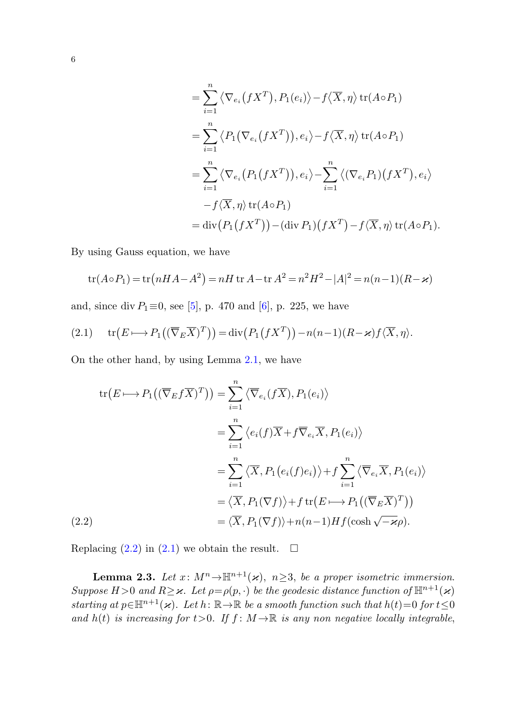$$
= \sum_{i=1}^{n} \langle \nabla_{e_i} (f X^T), P_1(e_i) \rangle - f \langle \overline{X}, \eta \rangle \operatorname{tr}(A \circ P_1)
$$
  
\n
$$
= \sum_{i=1}^{n} \langle P_1(\nabla_{e_i} (f X^T)), e_i \rangle - f \langle \overline{X}, \eta \rangle \operatorname{tr}(A \circ P_1)
$$
  
\n
$$
= \sum_{i=1}^{n} \langle \nabla_{e_i} (P_1(f X^T)), e_i \rangle - \sum_{i=1}^{n} \langle (\nabla_{e_i} P_1)(f X^T), e_i \rangle
$$
  
\n
$$
- f \langle \overline{X}, \eta \rangle \operatorname{tr}(A \circ P_1)
$$
  
\n
$$
= \operatorname{div} (P_1(f X^T)) - (\operatorname{div} P_1)(f X^T) - f \langle \overline{X}, \eta \rangle \operatorname{tr}(A \circ P_1).
$$

<span id="page-5-1"></span>By using Gauss equation, we have

$$
\text{tr}(A \circ P_1) = \text{tr}(nHA - A^2) = nH \text{ tr } A - \text{tr } A^2 = n^2H^2 - |A|^2 = n(n-1)(R - \varkappa)
$$

<span id="page-5-0"></span>and, since div  $P_1 \equiv 0$ , see [\[5](#page-10-4)], p. 470 and [\[6](#page-10-5)], p. 225, we have

(2.1) 
$$
\operatorname{tr}(E \longmapsto P_1((\overline{\nabla}_E \overline{X})^T)) = \operatorname{div}(P_1(fX^T)) - n(n-1)(R - \varkappa)f\langle \overline{X}, \eta \rangle.
$$

On the other hand, by using Lemma [2.1](#page-2-0), we have

$$
\operatorname{tr}(E \longmapsto P_1((\overline{\nabla}_E f \overline{X})^T)) = \sum_{i=1}^n \langle \overline{\nabla}_{e_i}(f \overline{X}), P_1(e_i) \rangle
$$
  
\n
$$
= \sum_{i=1}^n \langle e_i(f) \overline{X} + f \overline{\nabla}_{e_i} \overline{X}, P_1(e_i) \rangle
$$
  
\n
$$
= \sum_{i=1}^n \langle \overline{X}, P_1(e_i(f)e_i) \rangle + f \sum_{i=1}^n \langle \overline{\nabla}_{e_i} \overline{X}, P_1(e_i) \rangle
$$
  
\n
$$
= \langle \overline{X}, P_1(\nabla f) \rangle + f \operatorname{tr}(E \longmapsto P_1((\overline{\nabla}_E \overline{X})^T))
$$
  
\n(2.2)  
\n
$$
= \langle \overline{X}, P_1(\nabla f) \rangle + n(n-1) H f(\cosh \sqrt{-\varkappa} \rho).
$$

<span id="page-5-2"></span>Replacing  $(2.2)$  $(2.2)$  $(2.2)$  in  $(2.1)$  we obtain the result.  $\Box$ 

**Lemma 2.3.** Let  $x: M^n \to \mathbb{H}^{n+1}(\varkappa)$ ,  $n \geq 3$ , be a proper isometric immersion. Suppose  $H > 0$  and  $R \geq \varkappa$ . Let  $\rho = \rho(p, \cdot)$  be the geodesic distance function of  $\mathbb{H}^{n+1}(\varkappa)$ starting at  $p \in \mathbb{H}^{n+1}(\varkappa)$ . Let  $h: \mathbb{R} \to \mathbb{R}$  be a smooth function such that  $h(t)=0$  for  $t \leq 0$ and  $h(t)$  is increasing for  $t > 0$ . If  $f : M \to \mathbb{R}$  is any non negative locally integrable,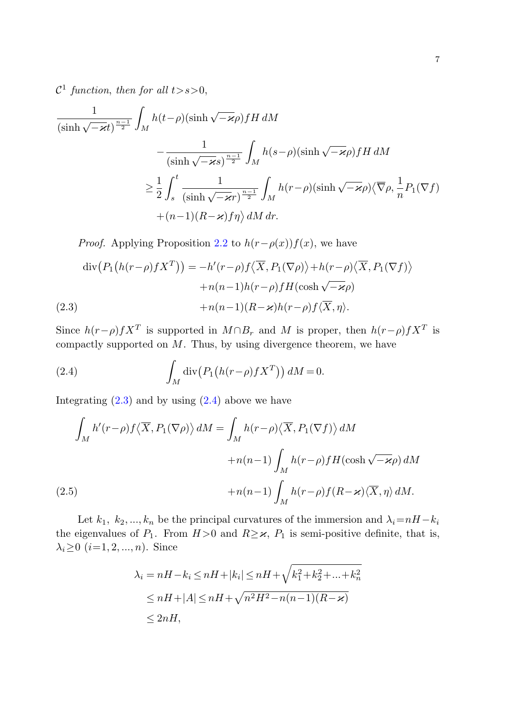$\mathcal{C}^1$  function, then for all  $t > s > 0$ ,

<span id="page-6-0"></span>
$$
\frac{1}{(\sinh\sqrt{-\varkappa}t)^{\frac{n-1}{2}}} \int_{M} h(t-\rho)(\sinh\sqrt{-\varkappa}\rho) fH \, dM
$$

$$
- \frac{1}{(\sinh\sqrt{-\varkappa}s)^{\frac{n-1}{2}}} \int_{M} h(s-\rho)(\sinh\sqrt{-\varkappa}\rho) fH \, dM
$$

$$
\geq \frac{1}{2} \int_{s}^{t} \frac{1}{(\sinh\sqrt{-\varkappa}r)^{\frac{n-1}{2}}} \int_{M} h(r-\rho)(\sinh\sqrt{-\varkappa}\rho) \langle \overline{\nabla}\rho, \frac{1}{n} P_{1}(\nabla f) + (n-1)(R-\varkappa)f\eta \rangle \, dM \, dr.
$$

*Proof.* Applying Proposition [2.2](#page-4-0) to  $h(r-\rho(x))f(x)$ , we have

<span id="page-6-1"></span>
$$
\operatorname{div}\left(P_1\big(h(r-\rho)fX^T\big)\right) = -h'(r-\rho)f\left\langle\overline{X}, P_1(\nabla\rho)\right\rangle + h(r-\rho)\left\langle\overline{X}, P_1(\nabla f)\right\rangle
$$

$$
+ n(n-1)h(r-\rho)fH(\cosh\sqrt{-\varkappa}\rho)
$$
  
(2.3)
$$
+ n(n-1)(R-\varkappa)h(r-\rho)f\left\langle\overline{X}, \eta\right\rangle.
$$

<span id="page-6-2"></span>Since  $h(r-\rho)fX^T$  is supported in  $M \cap B_r$  and M is proper, then  $h(r-\rho)fX^T$  is compactly supported on  $M$ . Thus, by using divergence theorem, we have

(2.4) 
$$
\int_M \operatorname{div} \left( P_1 \left( h(r-\rho) f X^T \right) \right) dM = 0.
$$

Integrating  $(2.3)$  $(2.3)$  and by using  $(2.4)$  $(2.4)$  above we have

$$
\int_{M} h'(r-\rho) f\langle \overline{X}, P_{1}(\nabla \rho) \rangle dM = \int_{M} h(r-\rho) \langle \overline{X}, P_{1}(\nabla f) \rangle dM
$$

$$
+ n(n-1) \int_{M} h(r-\rho) f H(\cosh \sqrt{-\varkappa} \rho) dM
$$

$$
(2.5)
$$

$$
+ n(n-1) \int_{M} h(r-\rho) f(R-\varkappa) \langle \overline{X}, \eta \rangle dM.
$$

Let  $k_1, k_2, ..., k_n$  be the principal curvatures of the immersion and  $\lambda_i=nH-k_i$ the eigenvalues of  $P_1$ . From  $H > 0$  and  $R \geq \varkappa$ ,  $P_1$  is semi-positive definite, that is,  $\lambda_i \geq 0$   $(i=1, 2, ..., n)$ . Since

$$
\lambda_i = nH - k_i \le nH + |k_i| \le nH + \sqrt{k_1^2 + k_2^2 + \dots + k_n^2}
$$
  
\n
$$
\le nH + |A| \le nH + \sqrt{n^2 H^2 - n(n-1)(R - \varkappa)}
$$
  
\n
$$
\le 2nH,
$$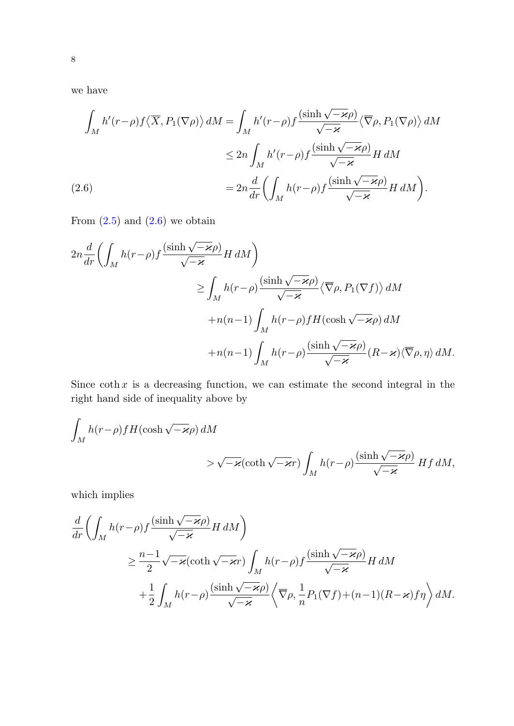<span id="page-7-0"></span>we have

$$
\int_{M} h'(r-\rho) f\langle \overline{X}, P_{1}(\nabla \rho) \rangle dM = \int_{M} h'(r-\rho) f \frac{(\sinh \sqrt{-\varkappa} \rho)}{\sqrt{-\varkappa}} \langle \overline{\nabla} \rho, P_{1}(\nabla \rho) \rangle dM
$$
  

$$
\leq 2n \int_{M} h'(r-\rho) f \frac{(\sinh \sqrt{-\varkappa} \rho)}{\sqrt{-\varkappa}} H dM
$$
  
(2.6)  

$$
= 2n \frac{d}{dr} \left( \int_{M} h(r-\rho) f \frac{(\sinh \sqrt{-\varkappa} \rho)}{\sqrt{-\varkappa}} H dM \right).
$$

From  $(2.5)$  $(2.5)$  $(2.5)$  and  $(2.6)$  $(2.6)$  we obtain

$$
2n\frac{d}{dr}\left(\int_{M}h(r-\rho)f\frac{(\sinh\sqrt{-\varkappa}\rho)}{\sqrt{-\varkappa}}H\,dM\right)
$$
  
\n
$$
\geq \int_{M}h(r-\rho)\frac{(\sinh\sqrt{-\varkappa}\rho)}{\sqrt{-\varkappa}}\langle\overline{\nabla}\rho,P_{1}(\nabla f)\rangle\,dM
$$
  
\n
$$
+n(n-1)\int_{M}h(r-\rho)fH(\cosh\sqrt{-\varkappa}\rho)\,dM
$$
  
\n
$$
+n(n-1)\int_{M}h(r-\rho)\frac{(\sinh\sqrt{-\varkappa}\rho)}{\sqrt{-\varkappa}}(R-\varkappa)\langle\overline{\nabla}\rho,\eta\rangle\,dM.
$$

Since  $\coth x$  is a decreasing function, we can estimate the second integral in the right hand side of inequality above by

$$
\int_{M} h(r-\rho) f H(\cosh \sqrt{-\varkappa} \rho) dM
$$
  
>  $\sqrt{-\varkappa} (\coth \sqrt{-\varkappa} r) \int_{M} h(r-\rho) \frac{(\sinh \sqrt{-\varkappa} \rho)}{\sqrt{-\varkappa}} H f dM,$ 

which implies

$$
\frac{d}{dr}\left(\int_{M} h(r-\rho)f\frac{(\sinh\sqrt{-\varkappa}\rho)}{\sqrt{-\varkappa}}H dM\right) \n\geq \frac{n-1}{2}\sqrt{-\varkappa}(\coth\sqrt{-\varkappa}r)\int_{M} h(r-\rho)f\frac{(\sinh\sqrt{-\varkappa}\rho)}{\sqrt{-\varkappa}}H dM \n+ \frac{1}{2}\int_{M} h(r-\rho)\frac{(\sinh\sqrt{-\varkappa}\rho)}{\sqrt{-\varkappa}}\left\langle\overline{\nabla}\rho, \frac{1}{n}P_{1}(\nabla f)+(n-1)(R-\varkappa)f\eta\right\rangle dM.
$$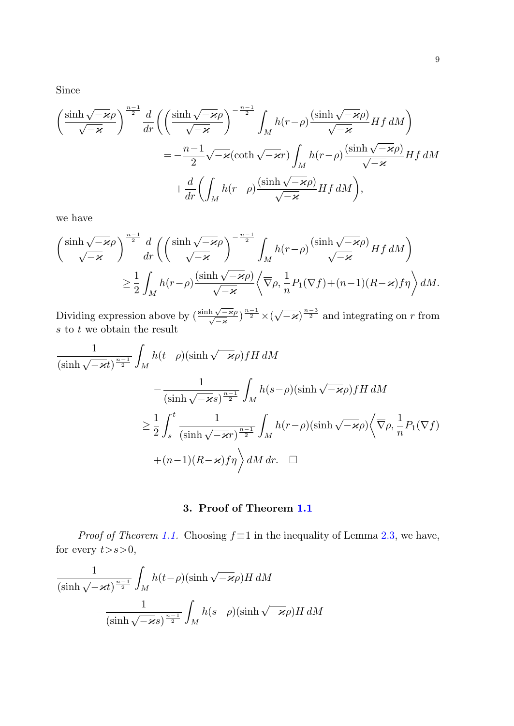Since

$$
\left(\frac{\sinh\sqrt{-\varkappa}\rho}{\sqrt{-\varkappa}}\right)^{\frac{n-1}{2}}\frac{d}{dr}\left(\left(\frac{\sinh\sqrt{-\varkappa}\rho}{\sqrt{-\varkappa}}\right)^{-\frac{n-1}{2}}\int_{M}h(r-\rho)\frac{(\sinh\sqrt{-\varkappa}\rho)}{\sqrt{-\varkappa}}Hf\,dM\right)
$$

$$
=-\frac{n-1}{2}\sqrt{-\varkappa}(\coth\sqrt{-\varkappa}r)\int_{M}h(r-\rho)\frac{(\sinh\sqrt{-\varkappa}\rho)}{\sqrt{-\varkappa}}Hf\,dM
$$

$$
+\frac{d}{dr}\left(\int_{M}h(r-\rho)\frac{(\sinh\sqrt{-\varkappa}\rho)}{\sqrt{-\varkappa}}Hf\,dM\right),
$$

we have

$$
\begin{split} \left(\frac{\sinh\sqrt{-\varkappa}\rho}{\sqrt{-\varkappa}}\right)^{\frac{n-1}{2}}&\frac{d}{dr}\bigg(\bigg(\frac{\sinh\sqrt{-\varkappa}\rho}{\sqrt{-\varkappa}}\bigg)^{-\frac{n-1}{2}}\int_{M}h(r-\rho)\frac{(\sinh\sqrt{-\varkappa}\rho)}{\sqrt{-\varkappa}}Hf\,dM\bigg)\\ &\geq\frac{1}{2}\int_{M}h(r-\rho)\frac{(\sinh\sqrt{-\varkappa}\rho)}{\sqrt{-\varkappa}}\bigg\langle\overline{\nabla}\rho,\frac{1}{n}P_{1}(\nabla f)+(n-1)(R-\varkappa)f\eta\bigg\rangle\,dM. \end{split}
$$

Dividing expression above by  $\left(\frac{\sinh\sqrt{-\varkappa}\rho}{\sqrt{-\varkappa}}\right)^{\frac{n-1}{2}} \times (\sqrt{-\varkappa})^{\frac{n-3}{2}}$  and integrating on r from  $s$  to  $t$  we obtain the result

$$
\frac{1}{(\sinh \sqrt{-\varkappa t})^{\frac{n-1}{2}}} \int_{M} h(t-\rho)(\sinh \sqrt{-\varkappa \rho}) fH \, dM
$$

$$
-\frac{1}{(\sinh \sqrt{-\varkappa s})^{\frac{n-1}{2}}} \int_{M} h(s-\rho)(\sinh \sqrt{-\varkappa \rho}) fH \, dM
$$

$$
\geq \frac{1}{2} \int_{s}^{t} \frac{1}{(\sinh \sqrt{-\varkappa r})^{\frac{n-1}{2}}} \int_{M} h(r-\rho)(\sinh \sqrt{-\varkappa \rho}) \sqrt{\nabla \rho}, \frac{1}{n} P_{1}(\nabla f)
$$

$$
+(n-1)(R-\varkappa) f\eta \rangle dM \, dr. \quad \Box
$$

**3. Proof of Theorem [1.1](#page-0-0)**

*Proof of Theorem [1.1](#page-0-0).* Choosing  $f \equiv 1$  in the inequality of Lemma [2.3](#page-5-2), we have, for every  $t > s > 0$ ,

$$
\frac{1}{(\sinh\sqrt{-\varkappa t})^{\frac{n-1}{2}}} \int_M h(t-\rho)(\sinh\sqrt{-\varkappa}\rho) H \, dM
$$

$$
-\frac{1}{(\sinh\sqrt{-\varkappa s})^{\frac{n-1}{2}}} \int_M h(s-\rho)(\sinh\sqrt{-\varkappa}\rho) H \, dM
$$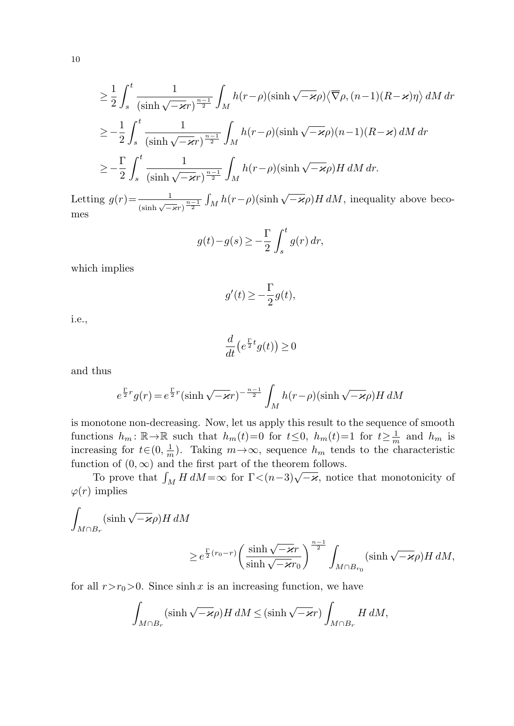$$
\geq \frac{1}{2} \int_{s}^{t} \frac{1}{(\sinh \sqrt{-\varkappa}r)^{\frac{n-1}{2}}} \int_{M} h(r-\rho)(\sinh \sqrt{-\varkappa}\rho) \langle \overline{\nabla}\rho, (n-1)(R-\varkappa)\eta \rangle dM dr
$$
  
\n
$$
\geq -\frac{1}{2} \int_{s}^{t} \frac{1}{(\sinh \sqrt{-\varkappa}r)^{\frac{n-1}{2}}} \int_{M} h(r-\rho)(\sinh \sqrt{-\varkappa}\rho)(n-1)(R-\varkappa) dM dr
$$
  
\n
$$
\geq -\frac{\Gamma}{2} \int_{s}^{t} \frac{1}{(\sinh \sqrt{-\varkappa}r)^{\frac{n-1}{2}}} \int_{M} h(r-\rho)(\sinh \sqrt{-\varkappa}\rho) H dM dr.
$$

Letting  $g(r) = \frac{1}{(\sinh \sqrt{-x}r)^{\frac{n-1}{2}}} \int_M h(r-\rho)(\sinh \sqrt{-x}\rho) H dM$ , inequality above becomes

$$
g(t) - g(s) \ge -\frac{\Gamma}{2} \int_s^t g(r) \, dr,
$$

which implies

$$
g'(t) \ge -\frac{\Gamma}{2}g(t),
$$

i.e.,

$$
\frac{d}{dt}\left(e^{\frac{\Gamma}{2}t}g(t)\right) \ge 0
$$

and thus

$$
e^{\frac{\Gamma}{2}r}g(r) = e^{\frac{\Gamma}{2}r}(\sinh \sqrt{-\varkappa}r)^{-\frac{n-1}{2}} \int_M h(r-\rho)(\sinh \sqrt{-\varkappa}\rho)H\,dM
$$

is monotone non-decreasing. Now, let us apply this result to the sequence of smooth functions  $h_m: \mathbb{R} \to \mathbb{R}$  such that  $h_m(t)=0$  for  $t \leq 0$ ,  $h_m(t)=1$  for  $t \geq \frac{1}{m}$  and  $h_m$  is increasing for  $t \in (0, \frac{1}{m})$ . Taking  $m \to \infty$ , sequence  $h_m$  tends to the characteristic function of  $(0, \infty)$  and the first part of the theorem follows.

To prove that  $\int_M H dM = \infty$  for  $\Gamma < (n-3)\sqrt{-\varkappa}$ , notice that monotonicity of  $\varphi(r)$  implies

$$
\int_{M \cap B_r} (\sinh \sqrt{-\varkappa} \rho) H dM
$$
\n
$$
\geq e^{\frac{\Gamma}{2}(r_0 - r)} \left( \frac{\sinh \sqrt{-\varkappa} r}{\sinh \sqrt{-\varkappa} r_0} \right)^{\frac{n-1}{2}} \int_{M \cap B_{r_0}} (\sinh \sqrt{-\varkappa} \rho) H dM,
$$

for all  $r>r_0>0$ . Since sinh x is an increasing function, we have

$$
\int_{M \cap B_r} (\sinh \sqrt{-\varkappa} \rho) H \, dM \leq (\sinh \sqrt{-\varkappa} r) \int_{M \cap B_r} H \, dM,
$$